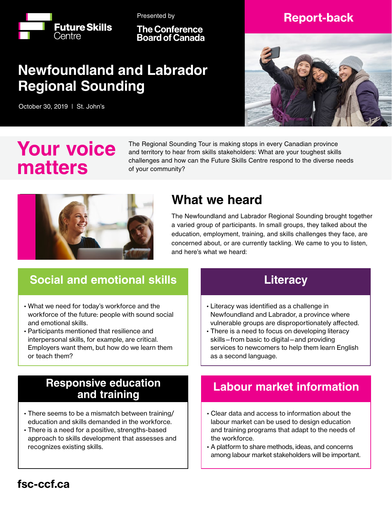

Presented by

**The Conference Board of Canada** 

## **Newfoundland and Labrador Regional Sounding**

October 30, 2019 | St. John's

### Report-back



# **Your voice matters**

The Regional Sounding Tour is making stops in every Canadian province and territory to hear from skills stakeholders: What are your toughest skills challenges and how can the Future Skills Centre respond to the diverse needs of your community?



## **What we heard**

The Newfoundland and Labrador Regional Sounding brought together a varied group of participants. In small groups, they talked about the education, employment, training, and skills challenges they face, are concerned about, or are currently tackling. We came to you to listen, and here's what we heard:

## **Social and emotional skills**

- What we need for today's workforce and the workforce of the future: people with sound social and emotional skills.
- Participants mentioned that resilience and interpersonal skills, for example, are critical. Employers want them, but how do we learn them or teach them?

#### **Literacy**

- Literacy was identified as a challenge in Newfoundland and Labrador, a province where vulnerable groups are disproportionately affected.
- There is a need to focus on developing literacy skills—from basic to digital—and providing services to newcomers to help them learn English as a second language.

#### **Responsive education and training**

- There seems to be a mismatch between training/ education and skills demanded in the workforce.
- There is a need for a positive, strengths-based approach to skills development that assesses and recognizes existing skills.

#### **Labour market information**

- Clear data and access to information about the labour market can be used to design education and training programs that adapt to the needs of the workforce.
- A platform to share methods, ideas, and concerns among labour market stakeholders will be important.

#### fsc-ccf.ca